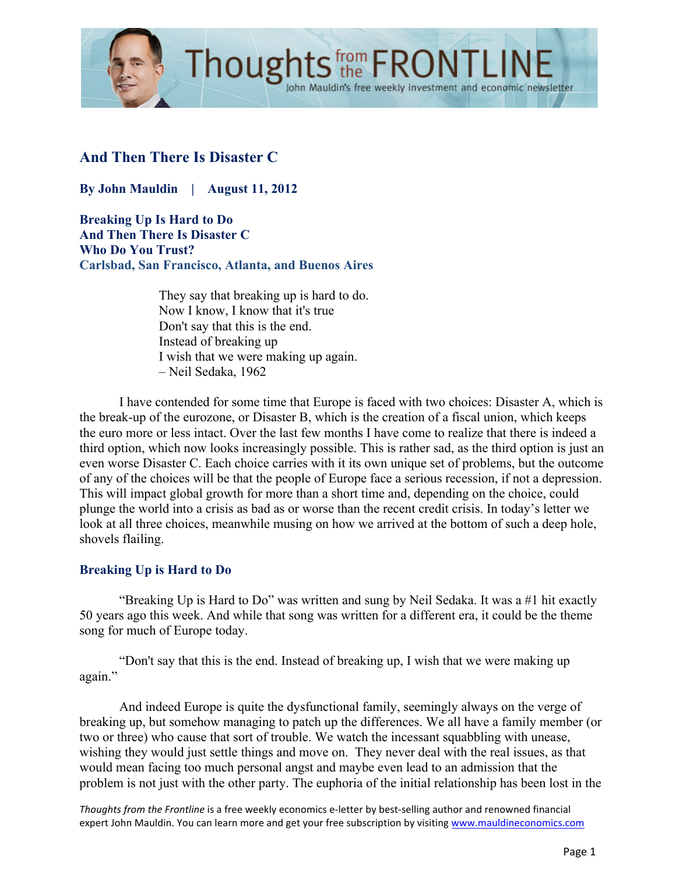

# **And Then There Is Disaster C**

**By John Mauldin | August 11, 2012**

**Breaking Up Is Hard to Do And Then There Is Disaster C Who Do You Trust? Carlsbad, San Francisco, Atlanta, and Buenos Aires**

> They say that breaking up is hard to do. Now I know, I know that it's true Don't say that this is the end. Instead of breaking up I wish that we were making up again. – Neil Sedaka, 1962

I have contended for some time that Europe is faced with two choices: Disaster A, which is the break-up of the eurozone, or Disaster B, which is the creation of a fiscal union, which keeps the euro more or less intact. Over the last few months I have come to realize that there is indeed a third option, which now looks increasingly possible. This is rather sad, as the third option is just an even worse Disaster C. Each choice carries with it its own unique set of problems, but the outcome of any of the choices will be that the people of Europe face a serious recession, if not a depression. This will impact global growth for more than a short time and, depending on the choice, could plunge the world into a crisis as bad as or worse than the recent credit crisis. In today's letter we look at all three choices, meanwhile musing on how we arrived at the bottom of such a deep hole, shovels flailing.

John Mauldin's free weekly investment and economic newsletter

### **Breaking Up is Hard to Do**

"Breaking Up is Hard to Do" was written and sung by Neil Sedaka. It was a #1 hit exactly 50 years ago this week. And while that song was written for a different era, it could be the theme song for much of Europe today.

"Don't say that this is the end. Instead of breaking up, I wish that we were making up again."

And indeed Europe is quite the dysfunctional family, seemingly always on the verge of breaking up, but somehow managing to patch up the differences. We all have a family member (or two or three) who cause that sort of trouble. We watch the incessant squabbling with unease, wishing they would just settle things and move on. They never deal with the real issues, as that would mean facing too much personal angst and maybe even lead to an admission that the problem is not just with the other party. The euphoria of the initial relationship has been lost in the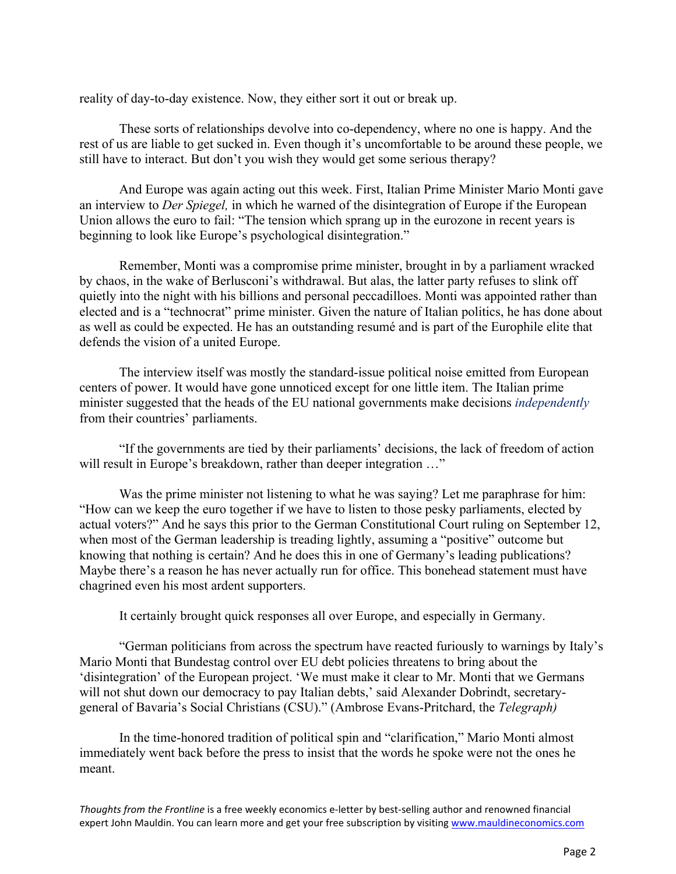reality of day-to-day existence. Now, they either sort it out or break up.

These sorts of relationships devolve into co-dependency, where no one is happy. And the rest of us are liable to get sucked in. Even though it's uncomfortable to be around these people, we still have to interact. But don't you wish they would get some serious therapy?

And Europe was again acting out this week. First, Italian Prime Minister Mario Monti gave an interview to *Der Spiegel,* in which he warned of the disintegration of Europe if the European Union allows the euro to fail: "The tension which sprang up in the eurozone in recent years is beginning to look like Europe's psychological disintegration."

Remember, Monti was a compromise prime minister, brought in by a parliament wracked by chaos, in the wake of Berlusconi's withdrawal. But alas, the latter party refuses to slink off quietly into the night with his billions and personal peccadilloes. Monti was appointed rather than elected and is a "technocrat" prime minister. Given the nature of Italian politics, he has done about as well as could be expected. He has an outstanding resumé and is part of the Europhile elite that defends the vision of a united Europe.

The interview itself was mostly the standard-issue political noise emitted from European centers of power. It would have gone unnoticed except for one little item. The Italian prime minister suggested that the heads of the EU national governments make decisions *independently* from their countries' parliaments.

"If the governments are tied by their parliaments' decisions, the lack of freedom of action will result in Europe's breakdown, rather than deeper integration ..."

Was the prime minister not listening to what he was saying? Let me paraphrase for him: "How can we keep the euro together if we have to listen to those pesky parliaments, elected by actual voters?" And he says this prior to the German Constitutional Court ruling on September 12, when most of the German leadership is treading lightly, assuming a "positive" outcome but knowing that nothing is certain? And he does this in one of Germany's leading publications? Maybe there's a reason he has never actually run for office. This bonehead statement must have chagrined even his most ardent supporters.

It certainly brought quick responses all over Europe, and especially in Germany.

"German politicians from across the spectrum have reacted furiously to warnings by Italy's Mario Monti that Bundestag control over EU debt policies threatens to bring about the 'disintegration' of the European project. 'We must make it clear to Mr. Monti that we Germans will not shut down our democracy to pay Italian debts,' said Alexander Dobrindt, secretarygeneral of Bavaria's Social Christians (CSU)." (Ambrose Evans-Pritchard, the *Telegraph)*

In the time-honored tradition of political spin and "clarification," Mario Monti almost immediately went back before the press to insist that the words he spoke were not the ones he meant.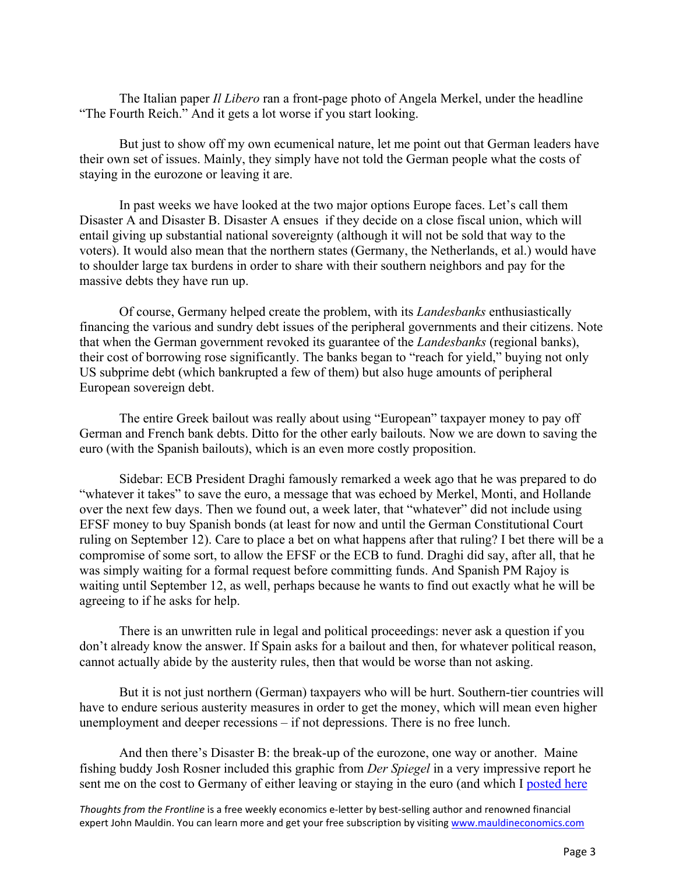The Italian paper *Il Libero* ran a front-page photo of Angela Merkel, under the headline "The Fourth Reich." And it gets a lot worse if you start looking.

But just to show off my own ecumenical nature, let me point out that German leaders have their own set of issues. Mainly, they simply have not told the German people what the costs of staying in the eurozone or leaving it are.

In past weeks we have looked at the two major options Europe faces. Let's call them Disaster A and Disaster B. Disaster A ensues if they decide on a close fiscal union, which will entail giving up substantial national sovereignty (although it will not be sold that way to the voters). It would also mean that the northern states (Germany, the Netherlands, et al.) would have to shoulder large tax burdens in order to share with their southern neighbors and pay for the massive debts they have run up.

Of course, Germany helped create the problem, with its *Landesbanks* enthusiastically financing the various and sundry debt issues of the peripheral governments and their citizens. Note that when the German government revoked its guarantee of the *Landesbanks* (regional banks), their cost of borrowing rose significantly. The banks began to "reach for yield," buying not only US subprime debt (which bankrupted a few of them) but also huge amounts of peripheral European sovereign debt.

The entire Greek bailout was really about using "European" taxpayer money to pay off German and French bank debts. Ditto for the other early bailouts. Now we are down to saving the euro (with the Spanish bailouts), which is an even more costly proposition.

Sidebar: ECB President Draghi famously remarked a week ago that he was prepared to do "whatever it takes" to save the euro, a message that was echoed by Merkel, Monti, and Hollande over the next few days. Then we found out, a week later, that "whatever" did not include using EFSF money to buy Spanish bonds (at least for now and until the German Constitutional Court ruling on September 12). Care to place a bet on what happens after that ruling? I bet there will be a compromise of some sort, to allow the EFSF or the ECB to fund. Draghi did say, after all, that he was simply waiting for a formal request before committing funds. And Spanish PM Rajoy is waiting until September 12, as well, perhaps because he wants to find out exactly what he will be agreeing to if he asks for help.

There is an unwritten rule in legal and political proceedings: never ask a question if you don't already know the answer. If Spain asks for a bailout and then, for whatever political reason, cannot actually abide by the austerity rules, then that would be worse than not asking.

But it is not just northern (German) taxpayers who will be hurt. Southern-tier countries will have to endure serious austerity measures in order to get the money, which will mean even higher unemployment and deeper recessions – if not depressions. There is no free lunch.

And then there's Disaster B: the break-up of the eurozone, one way or another. Maine fishing buddy Josh Rosner included this graphic from *Der Spiegel* in a very impressive report he sent me on the cost to Germany of either leaving or staying in the euro (and which I posted here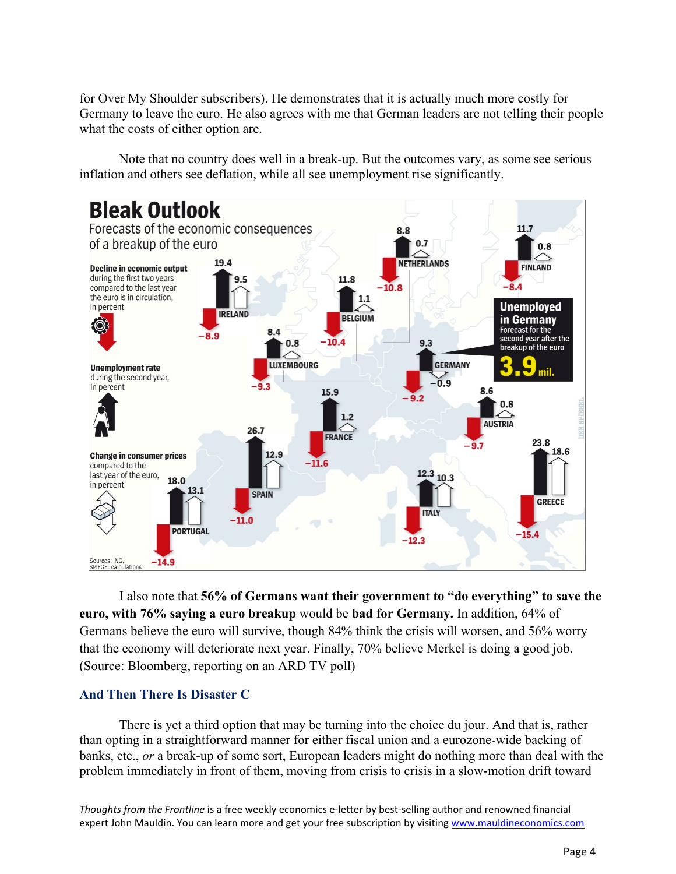for Over My Shoulder subscribers). He demonstrates that it is actually much more costly for Germany to leave the euro. He also agrees with me that German leaders are not telling their people what the costs of either option are.

Note that no country does well in a break-up. But the outcomes vary, as some see serious inflation and others see deflation, while all see unemployment rise significantly.



I also note that **56% of Germans want their government to "do everything" to save the euro, with 76% saying a euro breakup** would be **bad for Germany.** In addition, 64% of Germans believe the euro will survive, though 84% think the crisis will worsen, and 56% worry that the economy will deteriorate next year. Finally, 70% believe Merkel is doing a good job. (Source: Bloomberg, reporting on an ARD TV poll)

## **And Then There Is Disaster C**

There is yet a third option that may be turning into the choice du jour. And that is, rather than opting in a straightforward manner for either fiscal union and a eurozone-wide backing of banks, etc., *or* a break-up of some sort, European leaders might do nothing more than deal with the problem immediately in front of them, moving from crisis to crisis in a slow-motion drift toward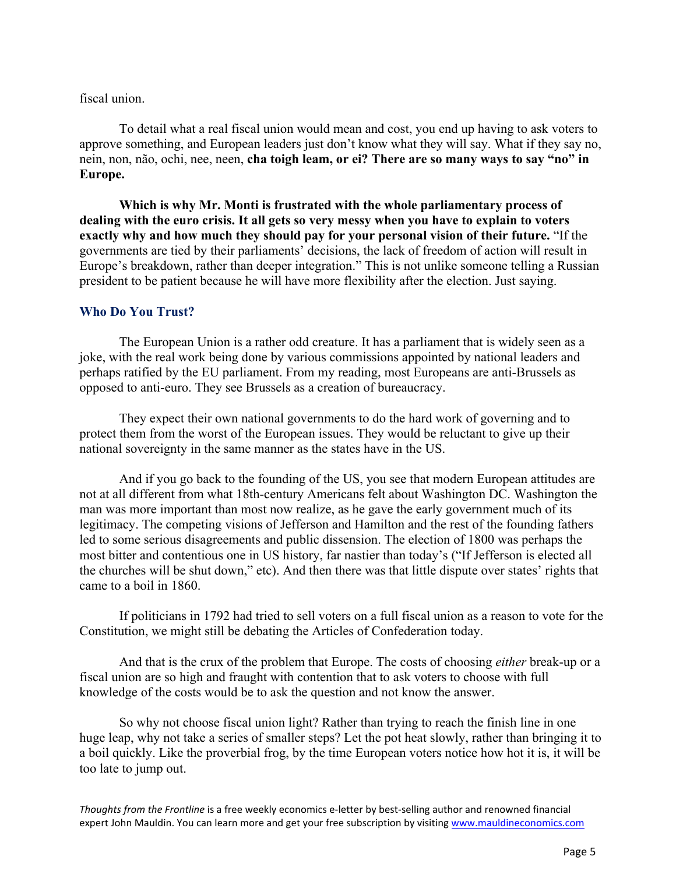fiscal union.

To detail what a real fiscal union would mean and cost, you end up having to ask voters to approve something, and European leaders just don't know what they will say. What if they say no, nein, non, não, ochi, nee, neen, **cha toigh leam, or ei? There are so many ways to say "no" in Europe.**

**Which is why Mr. Monti is frustrated with the whole parliamentary process of dealing with the euro crisis. It all gets so very messy when you have to explain to voters exactly why and how much they should pay for your personal vision of their future.** "If the governments are tied by their parliaments' decisions, the lack of freedom of action will result in Europe's breakdown, rather than deeper integration." This is not unlike someone telling a Russian president to be patient because he will have more flexibility after the election. Just saying.

### **Who Do You Trust?**

The European Union is a rather odd creature. It has a parliament that is widely seen as a joke, with the real work being done by various commissions appointed by national leaders and perhaps ratified by the EU parliament. From my reading, most Europeans are anti-Brussels as opposed to anti-euro. They see Brussels as a creation of bureaucracy.

They expect their own national governments to do the hard work of governing and to protect them from the worst of the European issues. They would be reluctant to give up their national sovereignty in the same manner as the states have in the US.

And if you go back to the founding of the US, you see that modern European attitudes are not at all different from what 18th-century Americans felt about Washington DC. Washington the man was more important than most now realize, as he gave the early government much of its legitimacy. The competing visions of Jefferson and Hamilton and the rest of the founding fathers led to some serious disagreements and public dissension. The election of 1800 was perhaps the most bitter and contentious one in US history, far nastier than today's ("If Jefferson is elected all the churches will be shut down," etc). And then there was that little dispute over states' rights that came to a boil in 1860.

If politicians in 1792 had tried to sell voters on a full fiscal union as a reason to vote for the Constitution, we might still be debating the Articles of Confederation today.

And that is the crux of the problem that Europe. The costs of choosing *either* break-up or a fiscal union are so high and fraught with contention that to ask voters to choose with full knowledge of the costs would be to ask the question and not know the answer.

So why not choose fiscal union light? Rather than trying to reach the finish line in one huge leap, why not take a series of smaller steps? Let the pot heat slowly, rather than bringing it to a boil quickly. Like the proverbial frog, by the time European voters notice how hot it is, it will be too late to jump out.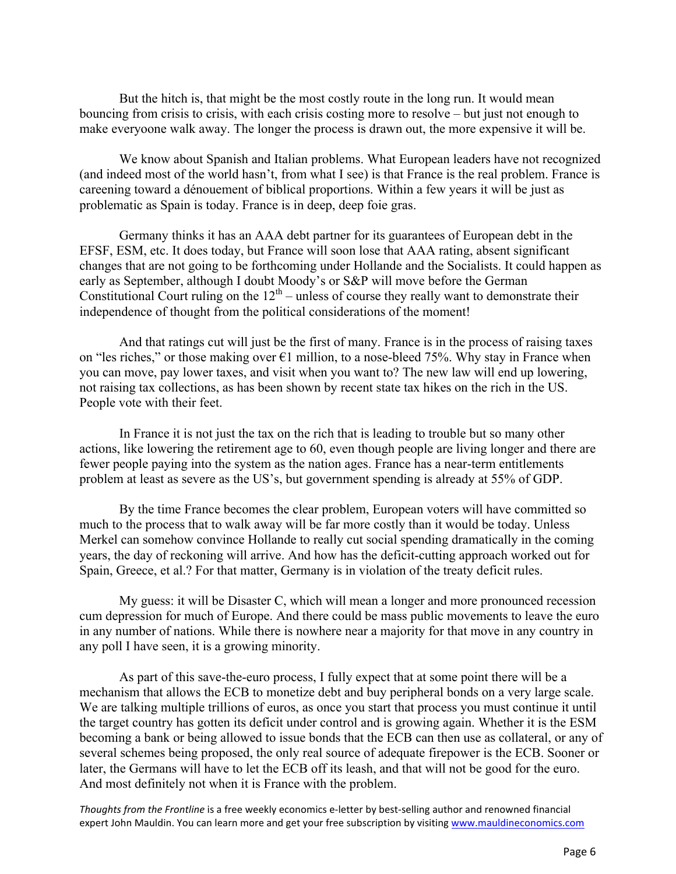But the hitch is, that might be the most costly route in the long run. It would mean bouncing from crisis to crisis, with each crisis costing more to resolve – but just not enough to make everyoone walk away. The longer the process is drawn out, the more expensive it will be.

We know about Spanish and Italian problems. What European leaders have not recognized (and indeed most of the world hasn't, from what I see) is that France is the real problem. France is careening toward a dénouement of biblical proportions. Within a few years it will be just as problematic as Spain is today. France is in deep, deep foie gras.

Germany thinks it has an AAA debt partner for its guarantees of European debt in the EFSF, ESM, etc. It does today, but France will soon lose that AAA rating, absent significant changes that are not going to be forthcoming under Hollande and the Socialists. It could happen as early as September, although I doubt Moody's or S&P will move before the German Constitutional Court ruling on the  $12<sup>th</sup>$  – unless of course they really want to demonstrate their independence of thought from the political considerations of the moment!

And that ratings cut will just be the first of many. France is in the process of raising taxes on "les riches," or those making over  $\epsilon$ 1 million, to a nose-bleed 75%. Why stay in France when you can move, pay lower taxes, and visit when you want to? The new law will end up lowering, not raising tax collections, as has been shown by recent state tax hikes on the rich in the US. People vote with their feet.

In France it is not just the tax on the rich that is leading to trouble but so many other actions, like lowering the retirement age to 60, even though people are living longer and there are fewer people paying into the system as the nation ages. France has a near-term entitlements problem at least as severe as the US's, but government spending is already at 55% of GDP.

By the time France becomes the clear problem, European voters will have committed so much to the process that to walk away will be far more costly than it would be today. Unless Merkel can somehow convince Hollande to really cut social spending dramatically in the coming years, the day of reckoning will arrive. And how has the deficit-cutting approach worked out for Spain, Greece, et al.? For that matter, Germany is in violation of the treaty deficit rules.

My guess: it will be Disaster C, which will mean a longer and more pronounced recession cum depression for much of Europe. And there could be mass public movements to leave the euro in any number of nations. While there is nowhere near a majority for that move in any country in any poll I have seen, it is a growing minority.

As part of this save-the-euro process, I fully expect that at some point there will be a mechanism that allows the ECB to monetize debt and buy peripheral bonds on a very large scale. We are talking multiple trillions of euros, as once you start that process you must continue it until the target country has gotten its deficit under control and is growing again. Whether it is the ESM becoming a bank or being allowed to issue bonds that the ECB can then use as collateral, or any of several schemes being proposed, the only real source of adequate firepower is the ECB. Sooner or later, the Germans will have to let the ECB off its leash, and that will not be good for the euro. And most definitely not when it is France with the problem.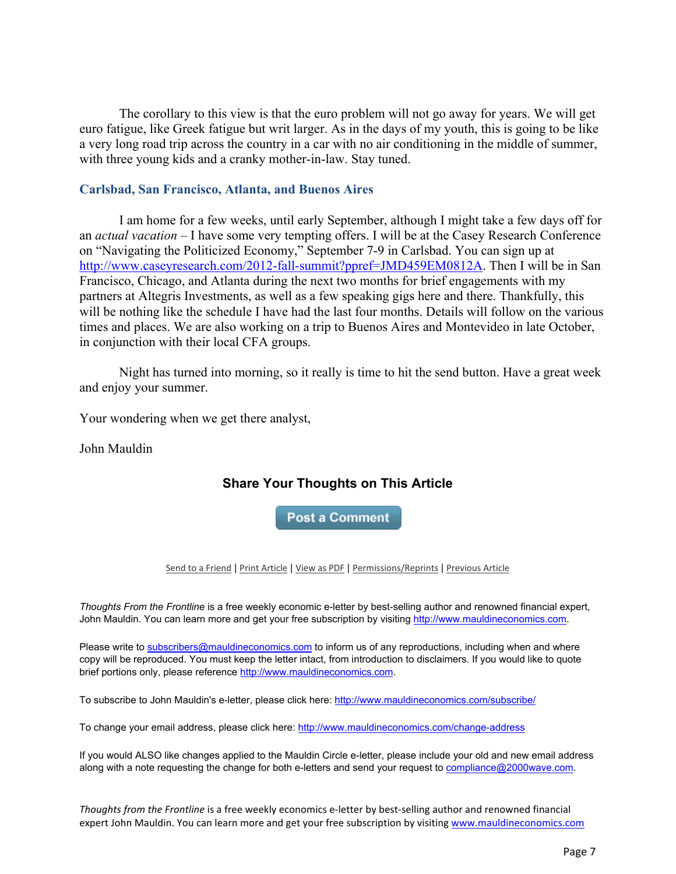The corollary to this view is that the euro problem will not go away for years. We will get euro fatigue, like Greek fatigue but writ larger. As in the days of my youth, this is going to be like a very long road trip across the country in a car with no air conditioning in the middle of summer, with three young kids and a cranky mother-in-law. Stay tuned.

#### **Carlsbad, San Francisco, Atlanta, and Buenos Aires**

I am home for a few weeks, until early September, although I might take a few days off for an *actual vacation* – I have some very tempting offers. I will be at the Casey Research Conference on "Navigating the Politicized Economy," September 7-9 in Carlsbad. You can sign up at http://www.caseyresearch.com/2012-fall-summit?ppref=JMD459EM0812A. Then I will be in San Francisco, Chicago, and Atlanta during the next two months for brief engagements with my partners at Altegris Investments, as well as a few speaking gigs here and there. Thankfully, this will be nothing like the schedule I have had the last four months. Details will follow on the various times and places. We are also working on a trip to Buenos Aires and Montevideo in late October, in conjunction with their local CFA groups.

Night has turned into morning, so it really is time to hit the send button. Have a great week and enjoy your summer.

Your wondering when we get there analyst,

John Mauldin

## **Share Your Thoughts on This Article**

**Post a Comment** 

Send to a Friend | Print Article | View as PDF | Permissions/Reprints | Previous Article

*Thoughts From the Frontline* is a free weekly economic e-letter by best-selling author and renowned financial expert, John Mauldin. You can learn more and get your free subscription by visiting http://www.mauldineconomics.com.

Please write to subscribers@mauldineconomics.com to inform us of any reproductions, including when and where copy will be reproduced. You must keep the letter intact, from introduction to disclaimers. If you would like to quote brief portions only, please reference http://www.mauldineconomics.com.

To subscribe to John Mauldin's e-letter, please click here: http://www.mauldineconomics.com/subscribe/

To change your email address, please click here: http://www.mauldineconomics.com/change-address

If you would ALSO like changes applied to the Mauldin Circle e-letter, please include your old and new email address along with a note requesting the change for both e-letters and send your request to compliance@2000wave.com.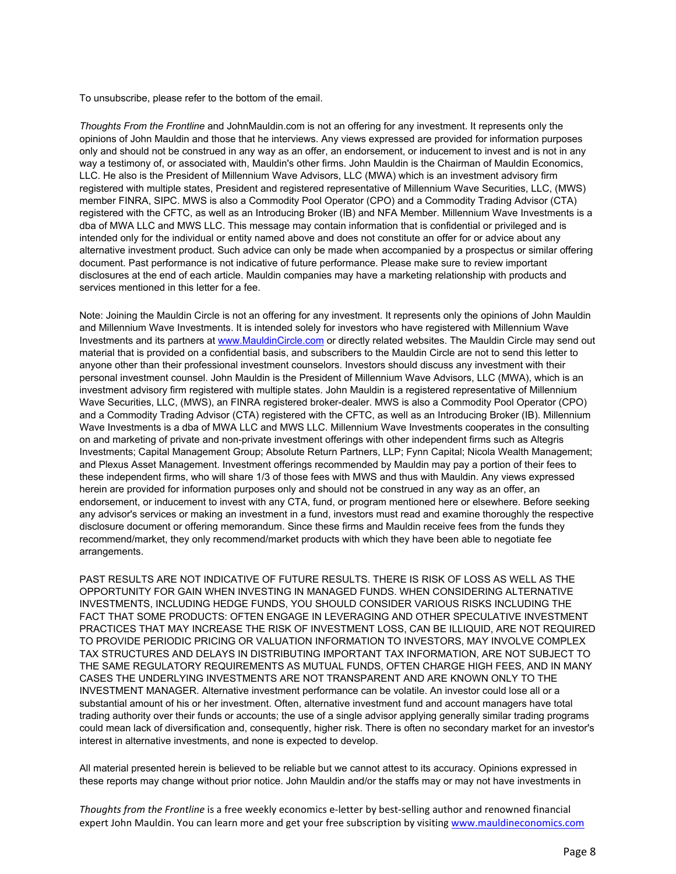To unsubscribe, please refer to the bottom of the email.

*Thoughts From the Frontline* and JohnMauldin.com is not an offering for any investment. It represents only the opinions of John Mauldin and those that he interviews. Any views expressed are provided for information purposes only and should not be construed in any way as an offer, an endorsement, or inducement to invest and is not in any way a testimony of, or associated with, Mauldin's other firms. John Mauldin is the Chairman of Mauldin Economics, LLC. He also is the President of Millennium Wave Advisors, LLC (MWA) which is an investment advisory firm registered with multiple states, President and registered representative of Millennium Wave Securities, LLC, (MWS) member FINRA, SIPC. MWS is also a Commodity Pool Operator (CPO) and a Commodity Trading Advisor (CTA) registered with the CFTC, as well as an Introducing Broker (IB) and NFA Member. Millennium Wave Investments is a dba of MWA LLC and MWS LLC. This message may contain information that is confidential or privileged and is intended only for the individual or entity named above and does not constitute an offer for or advice about any alternative investment product. Such advice can only be made when accompanied by a prospectus or similar offering document. Past performance is not indicative of future performance. Please make sure to review important disclosures at the end of each article. Mauldin companies may have a marketing relationship with products and services mentioned in this letter for a fee.

Note: Joining the Mauldin Circle is not an offering for any investment. It represents only the opinions of John Mauldin and Millennium Wave Investments. It is intended solely for investors who have registered with Millennium Wave Investments and its partners at www.MauldinCircle.com or directly related websites. The Mauldin Circle may send out material that is provided on a confidential basis, and subscribers to the Mauldin Circle are not to send this letter to anyone other than their professional investment counselors. Investors should discuss any investment with their personal investment counsel. John Mauldin is the President of Millennium Wave Advisors, LLC (MWA), which is an investment advisory firm registered with multiple states. John Mauldin is a registered representative of Millennium Wave Securities, LLC, (MWS), an FINRA registered broker-dealer. MWS is also a Commodity Pool Operator (CPO) and a Commodity Trading Advisor (CTA) registered with the CFTC, as well as an Introducing Broker (IB). Millennium Wave Investments is a dba of MWA LLC and MWS LLC. Millennium Wave Investments cooperates in the consulting on and marketing of private and non-private investment offerings with other independent firms such as Altegris Investments; Capital Management Group; Absolute Return Partners, LLP; Fynn Capital; Nicola Wealth Management; and Plexus Asset Management. Investment offerings recommended by Mauldin may pay a portion of their fees to these independent firms, who will share 1/3 of those fees with MWS and thus with Mauldin. Any views expressed herein are provided for information purposes only and should not be construed in any way as an offer, an endorsement, or inducement to invest with any CTA, fund, or program mentioned here or elsewhere. Before seeking any advisor's services or making an investment in a fund, investors must read and examine thoroughly the respective disclosure document or offering memorandum. Since these firms and Mauldin receive fees from the funds they recommend/market, they only recommend/market products with which they have been able to negotiate fee arrangements.

PAST RESULTS ARE NOT INDICATIVE OF FUTURE RESULTS. THERE IS RISK OF LOSS AS WELL AS THE OPPORTUNITY FOR GAIN WHEN INVESTING IN MANAGED FUNDS. WHEN CONSIDERING ALTERNATIVE INVESTMENTS, INCLUDING HEDGE FUNDS, YOU SHOULD CONSIDER VARIOUS RISKS INCLUDING THE FACT THAT SOME PRODUCTS: OFTEN ENGAGE IN LEVERAGING AND OTHER SPECULATIVE INVESTMENT PRACTICES THAT MAY INCREASE THE RISK OF INVESTMENT LOSS, CAN BE ILLIQUID, ARE NOT REQUIRED TO PROVIDE PERIODIC PRICING OR VALUATION INFORMATION TO INVESTORS, MAY INVOLVE COMPLEX TAX STRUCTURES AND DELAYS IN DISTRIBUTING IMPORTANT TAX INFORMATION, ARE NOT SUBJECT TO THE SAME REGULATORY REQUIREMENTS AS MUTUAL FUNDS, OFTEN CHARGE HIGH FEES, AND IN MANY CASES THE UNDERLYING INVESTMENTS ARE NOT TRANSPARENT AND ARE KNOWN ONLY TO THE INVESTMENT MANAGER. Alternative investment performance can be volatile. An investor could lose all or a substantial amount of his or her investment. Often, alternative investment fund and account managers have total trading authority over their funds or accounts; the use of a single advisor applying generally similar trading programs could mean lack of diversification and, consequently, higher risk. There is often no secondary market for an investor's interest in alternative investments, and none is expected to develop.

All material presented herein is believed to be reliable but we cannot attest to its accuracy. Opinions expressed in these reports may change without prior notice. John Mauldin and/or the staffs may or may not have investments in